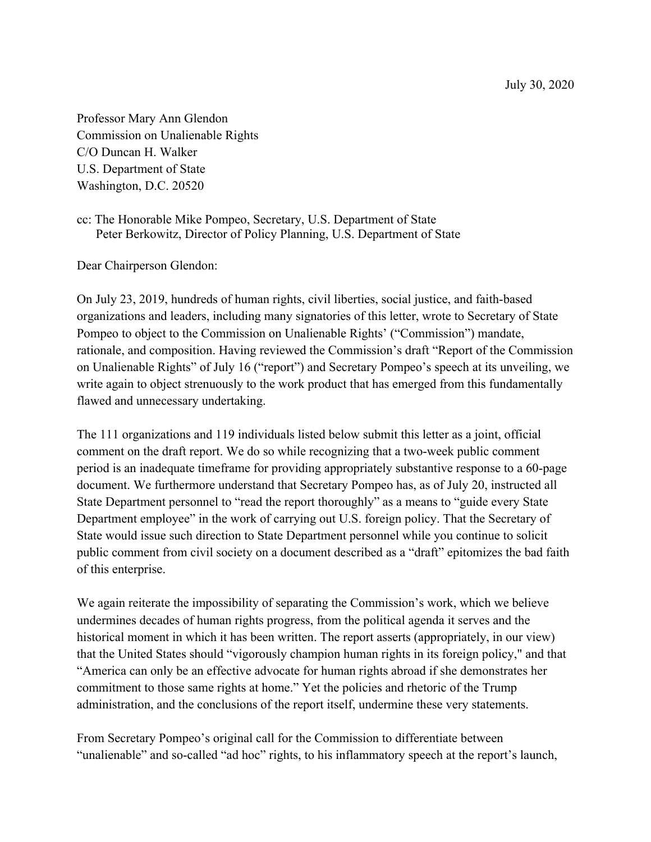July 30, 2020

Professor Mary Ann Glendon Commission on Unalienable Rights C/O Duncan H. Walker U.S. Department of State Washington, D.C. 20520

cc: The Honorable Mike Pompeo, Secretary, U.S. Department of State Peter Berkowitz, Director of Policy Planning, U.S. Department of State

Dear Chairperson Glendon:

On July 23, 2019, hundreds of human rights, civil liberties, social justice, and faith-based organizations and leaders, including many signatories of this letter, wrote to Secretary of State Pompeo to object to the Commission on Unalienable Rights' ("Commission") mandate, rationale, and composition. Having reviewed the Commission's draft "Report of the Commission on Unalienable Rights" of July 16 ("report") and Secretary Pompeo's speech at its unveiling, we write again to object strenuously to the work product that has emerged from this fundamentally flawed and unnecessary undertaking.

The 111 organizations and 119 individuals listed below submit this letter as a joint, official comment on the draft report. We do so while recognizing that a two-week public comment period is an inadequate timeframe for providing appropriately substantive response to a 60-page document. We furthermore understand that Secretary Pompeo has, as of July 20, instructed all State Department personnel to "read the report thoroughly" as a means to "guide every State Department employee" in the work of carrying out U.S. foreign policy. That the Secretary of State would issue such direction to State Department personnel while you continue to solicit public comment from civil society on a document described as a "draft" epitomizes the bad faith of this enterprise.

We again reiterate the impossibility of separating the Commission's work, which we believe undermines decades of human rights progress, from the political agenda it serves and the historical moment in which it has been written. The report asserts (appropriately, in our view) that the United States should "vigorously champion human rights in its foreign policy," and that "America can only be an effective advocate for human rights abroad if she demonstrates her commitment to those same rights at home." Yet the policies and rhetoric of the Trump administration, and the conclusions of the report itself, undermine these very statements.

From Secretary Pompeo's original call for the Commission to differentiate between "unalienable" and so-called "ad hoc" rights, to his inflammatory speech at the report's launch,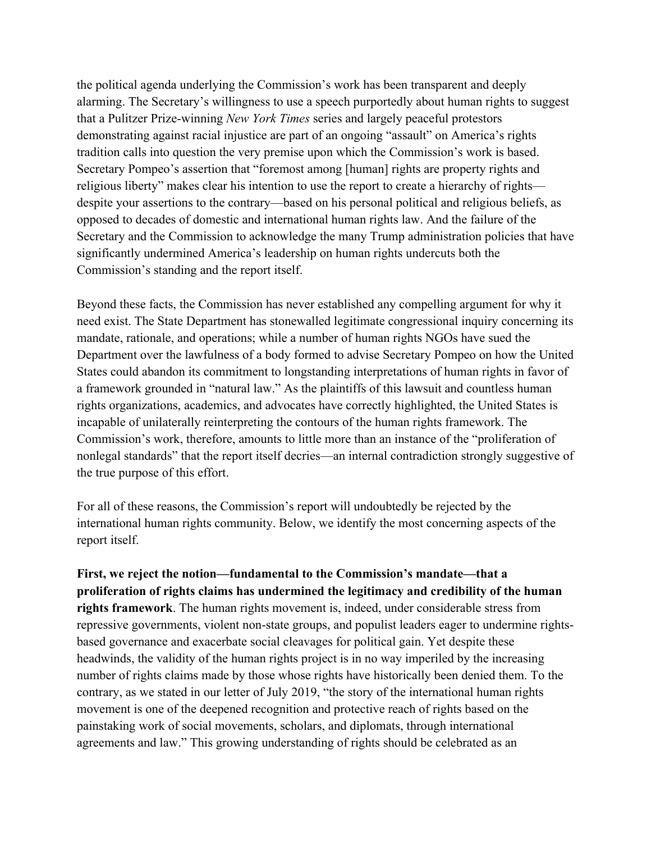the political agenda underlying the Commission's work has been transparent and deeply alarming. The Secretary's willingness to use a speech purportedly about human rights to suggest that a Pulitzer Prize-winning *New York Times* series and largely peaceful protestors demonstrating against racial injustice are part of an ongoing "assault" on America's rights tradition calls into question the very premise upon which the Commission's work is based. Secretary Pompeo's assertion that "foremost among [human] rights are property rights and religious liberty" makes clear his intention to use the report to create a hierarchy of rights despite your assertions to the contrary—based on his personal political and religious beliefs, as opposed to decades of domestic and international human rights law. And the failure of the Secretary and the Commission to acknowledge the many Trump administration policies that have significantly undermined America's leadership on human rights undercuts both the Commission's standing and the report itself.

Beyond these facts, the Commission has never established any compelling argument for why it need exist. The State Department has stonewalled legitimate congressional inquiry concerning its mandate, rationale, and operations; while a number of human rights NGOs have sued the Department over the lawfulness of a body formed to advise Secretary Pompeo on how the United States could abandon its commitment to longstanding interpretations of human rights in favor of a framework grounded in "natural law." As the plaintiffs of this lawsuit and countless human rights organizations, academics, and advocates have correctly highlighted, the United States is incapable of unilaterally reinterpreting the contours of the human rights framework. The Commission's work, therefore, amounts to little more than an instance of the "proliferation of nonlegal standards" that the report itself decries—an internal contradiction strongly suggestive of the true purpose of this effort.

For all of these reasons, the Commission's report will undoubtedly be rejected by the international human rights community. Below, we identify the most concerning aspects of the report itself.

**First, we reject the notion—fundamental to the Commission's mandate—that a proliferation of rights claims has undermined the legitimacy and credibility of the human rights framework**. The human rights movement is, indeed, under considerable stress from repressive governments, violent non-state groups, and populist leaders eager to undermine rightsbased governance and exacerbate social cleavages for political gain. Yet despite these headwinds, the validity of the human rights project is in no way imperiled by the increasing number of rights claims made by those whose rights have historically been denied them. To the contrary, as we stated in our letter of July 2019, "the story of the international human rights movement is one of the deepened recognition and protective reach of rights based on the painstaking work of social movements, scholars, and diplomats, through international agreements and law." This growing understanding of rights should be celebrated as an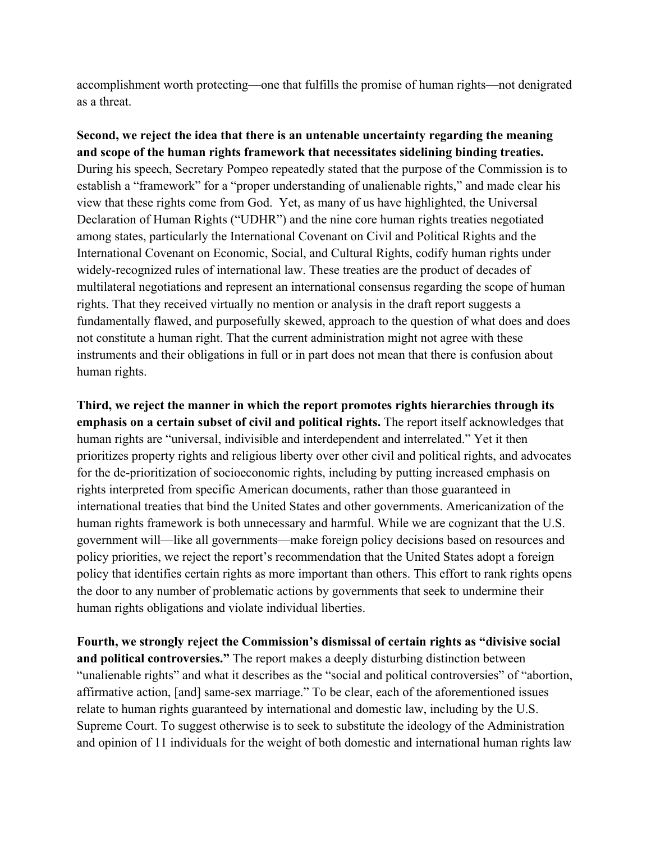accomplishment worth protecting—one that fulfills the promise of human rights—not denigrated as a threat.

**Second, we reject the idea that there is an untenable uncertainty regarding the meaning and scope of the human rights framework that necessitates sidelining binding treaties.**  During his speech, Secretary Pompeo repeatedly stated that the purpose of the Commission is to establish a "framework" for a "proper understanding of unalienable rights," and made clear his view that these rights come from God. Yet, as many of us have highlighted, the Universal Declaration of Human Rights ("UDHR") and the nine core human rights treaties negotiated among states, particularly the International Covenant on Civil and Political Rights and the International Covenant on Economic, Social, and Cultural Rights, codify human rights under widely-recognized rules of international law. These treaties are the product of decades of multilateral negotiations and represent an international consensus regarding the scope of human rights. That they received virtually no mention or analysis in the draft report suggests a fundamentally flawed, and purposefully skewed, approach to the question of what does and does not constitute a human right. That the current administration might not agree with these instruments and their obligations in full or in part does not mean that there is confusion about human rights.

**Third, we reject the manner in which the report promotes rights hierarchies through its emphasis on a certain subset of civil and political rights.** The report itself acknowledges that human rights are "universal, indivisible and interdependent and interrelated." Yet it then prioritizes property rights and religious liberty over other civil and political rights, and advocates for the de-prioritization of socioeconomic rights, including by putting increased emphasis on rights interpreted from specific American documents, rather than those guaranteed in international treaties that bind the United States and other governments. Americanization of the human rights framework is both unnecessary and harmful. While we are cognizant that the U.S. government will—like all governments—make foreign policy decisions based on resources and policy priorities, we reject the report's recommendation that the United States adopt a foreign policy that identifies certain rights as more important than others. This effort to rank rights opens the door to any number of problematic actions by governments that seek to undermine their human rights obligations and violate individual liberties.

**Fourth, we strongly reject the Commission's dismissal of certain rights as "divisive social and political controversies."** The report makes a deeply disturbing distinction between "unalienable rights" and what it describes as the "social and political controversies" of "abortion, affirmative action, [and] same-sex marriage." To be clear, each of the aforementioned issues relate to human rights guaranteed by international and domestic law, including by the U.S. Supreme Court. To suggest otherwise is to seek to substitute the ideology of the Administration and opinion of 11 individuals for the weight of both domestic and international human rights law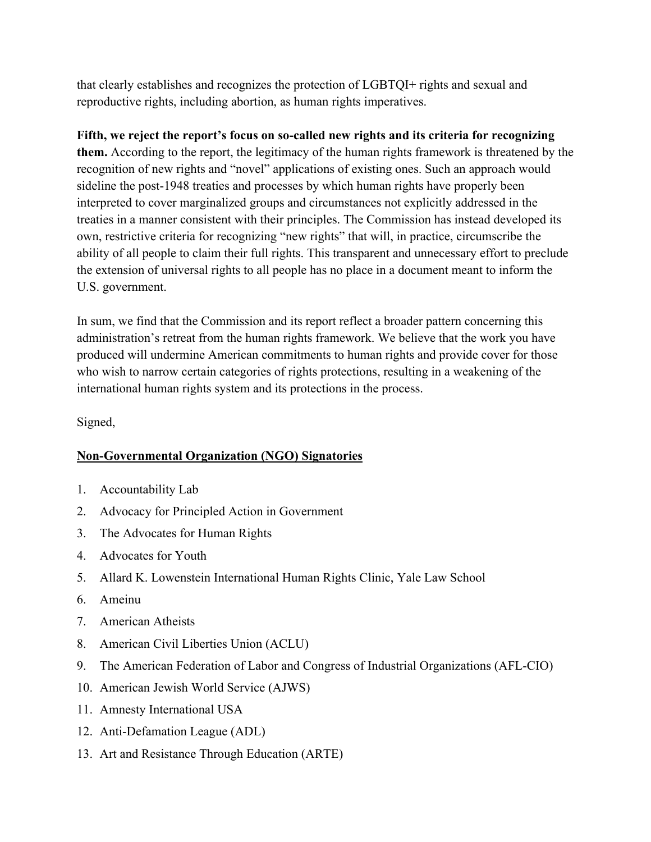that clearly establishes and recognizes the protection of LGBTQI+ rights and sexual and reproductive rights, including abortion, as human rights imperatives.

# **Fifth, we reject the report's focus on so-called new rights and its criteria for recognizing**

**them.** According to the report, the legitimacy of the human rights framework is threatened by the recognition of new rights and "novel" applications of existing ones. Such an approach would sideline the post-1948 treaties and processes by which human rights have properly been interpreted to cover marginalized groups and circumstances not explicitly addressed in the treaties in a manner consistent with their principles. The Commission has instead developed its own, restrictive criteria for recognizing "new rights" that will, in practice, circumscribe the ability of all people to claim their full rights. This transparent and unnecessary effort to preclude the extension of universal rights to all people has no place in a document meant to inform the U.S. government.

In sum, we find that the Commission and its report reflect a broader pattern concerning this administration's retreat from the human rights framework. We believe that the work you have produced will undermine American commitments to human rights and provide cover for those who wish to narrow certain categories of rights protections, resulting in a weakening of the international human rights system and its protections in the process.

Signed,

# **Non-Governmental Organization (NGO) Signatories**

- 1. Accountability Lab
- 2. Advocacy for Principled Action in Government
- 3. The Advocates for Human Rights
- 4. Advocates for Youth
- 5. Allard K. Lowenstein International Human Rights Clinic, Yale Law School
- 6. Ameinu
- 7. American Atheists
- 8. American Civil Liberties Union (ACLU)
- 9. The American Federation of Labor and Congress of Industrial Organizations (AFL-CIO)
- 10. American Jewish World Service (AJWS)
- 11. Amnesty International USA
- 12. Anti-Defamation League (ADL)
- 13. Art and Resistance Through Education (ARTE)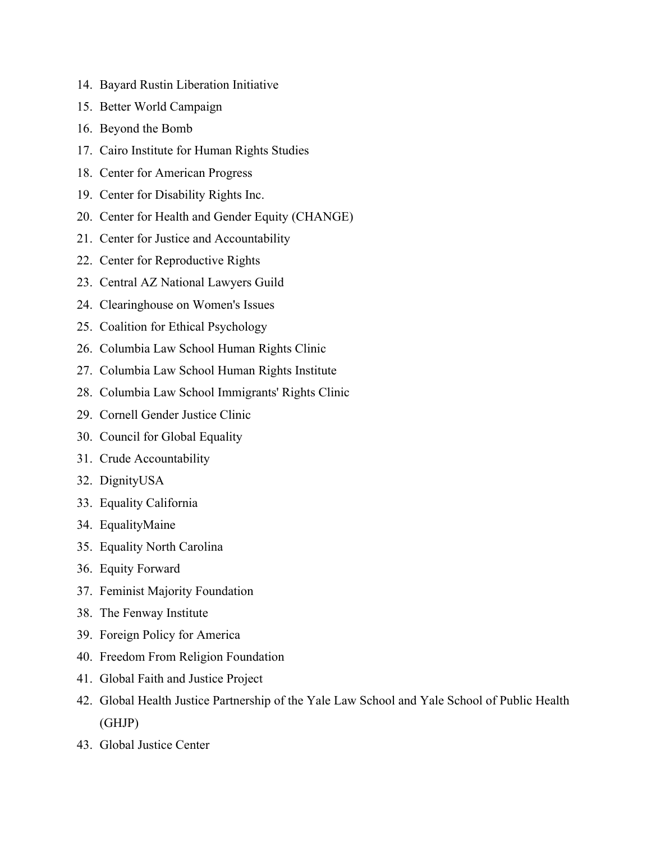- 14. Bayard Rustin Liberation Initiative
- 15. Better World Campaign
- 16. Beyond the Bomb
- 17. Cairo Institute for Human Rights Studies
- 18. Center for American Progress
- 19. Center for Disability Rights Inc.
- 20. Center for Health and Gender Equity (CHANGE)
- 21. Center for Justice and Accountability
- 22. Center for Reproductive Rights
- 23. Central AZ National Lawyers Guild
- 24. Clearinghouse on Women's Issues
- 25. Coalition for Ethical Psychology
- 26. Columbia Law School Human Rights Clinic
- 27. Columbia Law School Human Rights Institute
- 28. Columbia Law School Immigrants' Rights Clinic
- 29. Cornell Gender Justice Clinic
- 30. Council for Global Equality
- 31. Crude Accountability
- 32. DignityUSA
- 33. Equality California
- 34. EqualityMaine
- 35. Equality North Carolina
- 36. Equity Forward
- 37. Feminist Majority Foundation
- 38. The Fenway Institute
- 39. Foreign Policy for America
- 40. Freedom From Religion Foundation
- 41. Global Faith and Justice Project
- 42. Global Health Justice Partnership of the Yale Law School and Yale School of Public Health (GHJP)
- 43. Global Justice Center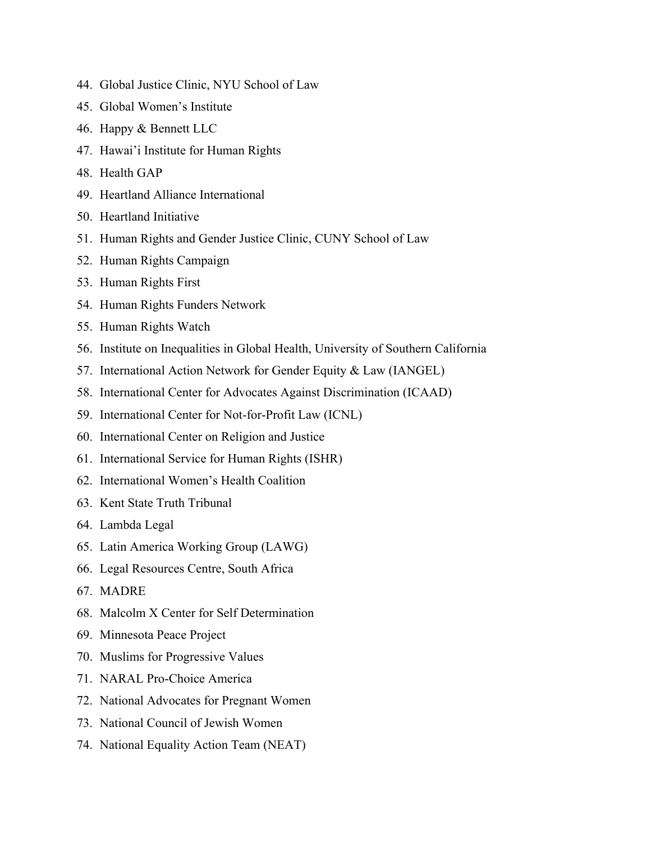- 44. Global Justice Clinic, NYU School of Law
- 45. Global Women's Institute
- 46. Happy & Bennett LLC
- 47. Hawai'i Institute for Human Rights
- 48. Health GAP
- 49. Heartland Alliance International
- 50. Heartland Initiative
- 51. Human Rights and Gender Justice Clinic, CUNY School of Law
- 52. Human Rights Campaign
- 53. Human Rights First
- 54. Human Rights Funders Network
- 55. Human Rights Watch
- 56. Institute on Inequalities in Global Health, University of Southern California
- 57. International Action Network for Gender Equity & Law (IANGEL)
- 58. International Center for Advocates Against Discrimination (ICAAD)
- 59. International Center for Not-for-Profit Law (ICNL)
- 60. International Center on Religion and Justice
- 61. International Service for Human Rights (ISHR)
- 62. International Women's Health Coalition
- 63. Kent State Truth Tribunal
- 64. Lambda Legal
- 65. Latin America Working Group (LAWG)
- 66. Legal Resources Centre, South Africa
- 67. MADRE
- 68. Malcolm X Center for Self Determination
- 69. Minnesota Peace Project
- 70. Muslims for Progressive Values
- 71. NARAL Pro-Choice America
- 72. National Advocates for Pregnant Women
- 73. National Council of Jewish Women
- 74. National Equality Action Team (NEAT)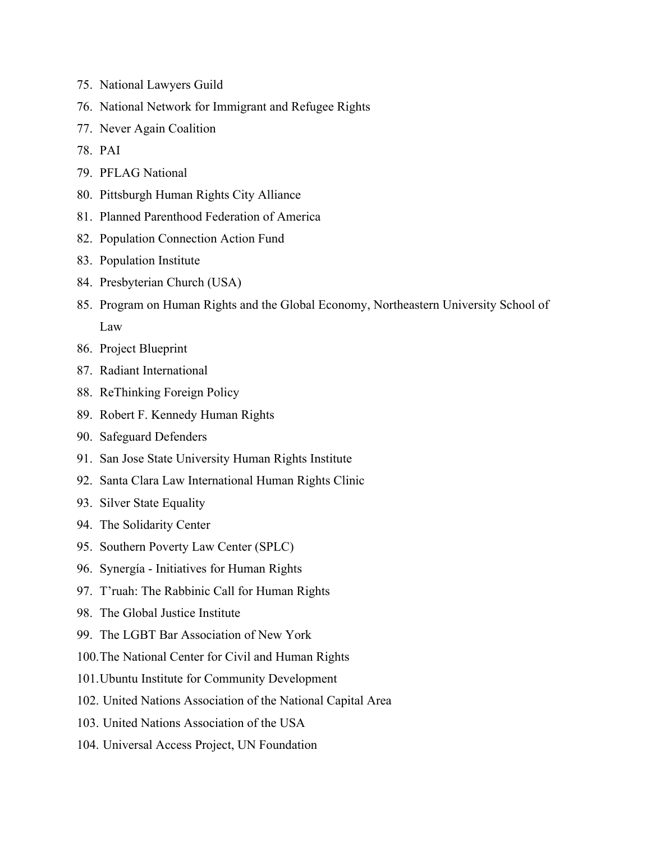- 75. National Lawyers Guild
- 76. National Network for Immigrant and Refugee Rights
- 77. Never Again Coalition
- 78. PAI
- 79. PFLAG National
- 80. Pittsburgh Human Rights City Alliance
- 81. Planned Parenthood Federation of America
- 82. Population Connection Action Fund
- 83. Population Institute
- 84. Presbyterian Church (USA)
- 85. Program on Human Rights and the Global Economy, Northeastern University School of Law
- 86. Project Blueprint
- 87. Radiant International
- 88. ReThinking Foreign Policy
- 89. Robert F. Kennedy Human Rights
- 90. Safeguard Defenders
- 91. San Jose State University Human Rights Institute
- 92. Santa Clara Law International Human Rights Clinic
- 93. Silver State Equality
- 94. The Solidarity Center
- 95. Southern Poverty Law Center (SPLC)
- 96. Synergía Initiatives for Human Rights
- 97. T'ruah: The Rabbinic Call for Human Rights
- 98. The Global Justice Institute
- 99. The LGBT Bar Association of New York
- 100.The National Center for Civil and Human Rights
- 101.Ubuntu Institute for Community Development
- 102. United Nations Association of the National Capital Area
- 103. United Nations Association of the USA
- 104. Universal Access Project, UN Foundation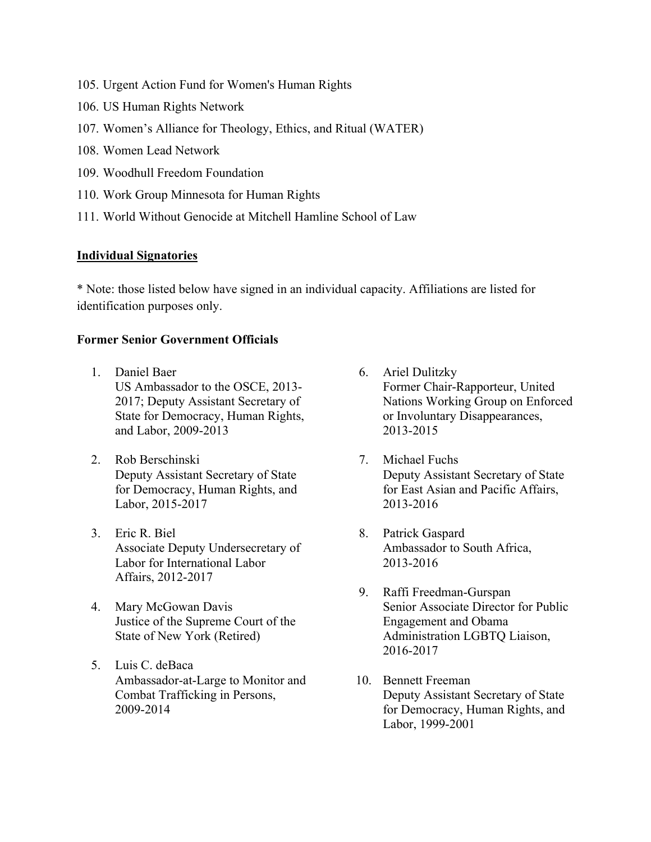- 105. Urgent Action Fund for Women's Human Rights
- 106. US Human Rights Network
- 107. Women's Alliance for Theology, Ethics, and Ritual (WATER)
- 108. Women Lead Network
- 109. Woodhull Freedom Foundation
- 110. Work Group Minnesota for Human Rights
- 111. World Without Genocide at Mitchell Hamline School of Law

### **Individual Signatories**

\* Note: those listed below have signed in an individual capacity. Affiliations are listed for identification purposes only.

## **Former Senior Government Officials**

- 1. Daniel Baer US Ambassador to the OSCE, 2013- 2017; Deputy Assistant Secretary of State for Democracy, Human Rights, and Labor, 2009-2013
- 2. Rob Berschinski Deputy Assistant Secretary of State for Democracy, Human Rights, and Labor, 2015-2017
- 3. Eric R. Biel Associate Deputy Undersecretary of Labor for International Labor Affairs, 2012-2017
- 4. Mary McGowan Davis Justice of the Supreme Court of the State of New York (Retired)
- 5. Luis C. deBaca Ambassador-at-Large to Monitor and Combat Trafficking in Persons, 2009-2014
- 6. Ariel Dulitzky Former Chair-Rapporteur, United Nations Working Group on Enforced or Involuntary Disappearances, 2013-2015
- 7. Michael Fuchs Deputy Assistant Secretary of State for East Asian and Pacific Affairs, 2013-2016
- 8. Patrick Gaspard Ambassador to South Africa, 2013-2016
- 9. Raffi Freedman-Gurspan Senior Associate Director for Public Engagement and Obama Administration LGBTQ Liaison, 2016-2017
- 10. Bennett Freeman Deputy Assistant Secretary of State for Democracy, Human Rights, and Labor, 1999-2001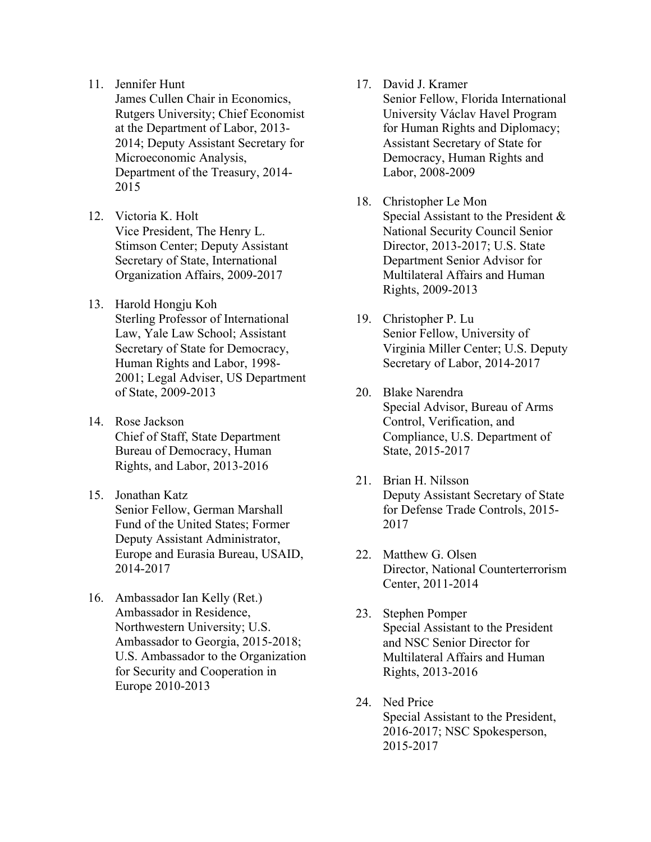11. Jennifer Hunt

James Cullen Chair in Economics, Rutgers University; Chief Economist at the Department of Labor, 2013- 2014; Deputy Assistant Secretary for Microeconomic Analysis, Department of the Treasury, 2014- 2015

- 12. Victoria K. Holt Vice President, The Henry L. Stimson Center; Deputy Assistant Secretary of State, International Organization Affairs, 2009-2017
- 13. Harold Hongju Koh Sterling Professor of International Law, Yale Law School; Assistant Secretary of State for Democracy, Human Rights and Labor, 1998- 2001; Legal Adviser, US Department of State, 2009-2013
- 14. Rose Jackson Chief of Staff, State Department Bureau of Democracy, Human Rights, and Labor, 2013-2016
- 15. Jonathan Katz Senior Fellow, German Marshall Fund of the United States; Former Deputy Assistant Administrator, Europe and Eurasia Bureau, USAID, 2014-2017
- 16. Ambassador Ian Kelly (Ret.) Ambassador in Residence, Northwestern University; U.S. Ambassador to Georgia, 2015-2018; U.S. Ambassador to the Organization for Security and Cooperation in Europe 2010-2013
- 17. David J. Kramer
	- Senior Fellow, Florida International University Václav Havel Program for Human Rights and Diplomacy; Assistant Secretary of State for Democracy, Human Rights and Labor, 2008-2009
- 18. Christopher Le Mon Special Assistant to the President & National Security Council Senior Director, 2013-2017; U.S. State Department Senior Advisor for Multilateral Affairs and Human Rights, 2009-2013
- 19. Christopher P. Lu Senior Fellow, University of Virginia Miller Center; U.S. Deputy Secretary of Labor, 2014-2017
- 20. Blake Narendra Special Advisor, Bureau of Arms Control, Verification, and Compliance, U.S. Department of State, 2015-2017
- 21. Brian H. Nilsson Deputy Assistant Secretary of State for Defense Trade Controls, 2015- 2017
- 22. Matthew G. Olsen Director, National Counterterrorism Center, 2011-2014
- 23. Stephen Pomper Special Assistant to the President and NSC Senior Director for Multilateral Affairs and Human Rights, 2013-2016
- 24. Ned Price Special Assistant to the President, 2016-2017; NSC Spokesperson, 2015-2017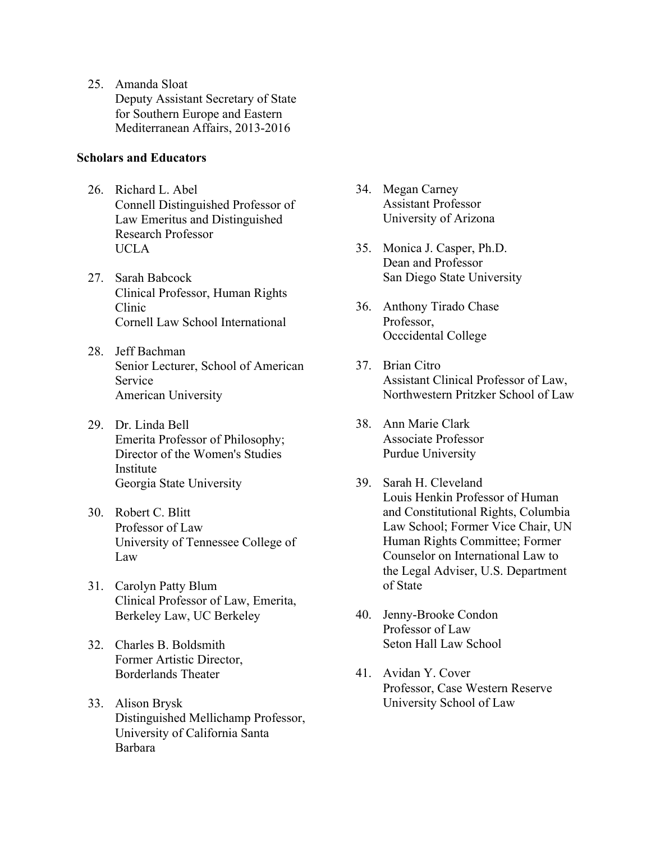25. Amanda Sloat Deputy Assistant Secretary of State for Southern Europe and Eastern Mediterranean Affairs, 2013-2016

### **Scholars and Educators**

- 26. Richard L. Abel Connell Distinguished Professor of Law Emeritus and Distinguished Research Professor UCLA
- 27. Sarah Babcock Clinical Professor, Human Rights Clinic Cornell Law School International
- 28. Jeff Bachman Senior Lecturer, School of American Service American University
- 29. Dr. Linda Bell Emerita Professor of Philosophy; Director of the Women's Studies Institute Georgia State University
- 30. Robert C. Blitt Professor of Law University of Tennessee College of Law
- 31. Carolyn Patty Blum Clinical Professor of Law, Emerita, Berkeley Law, UC Berkeley
- 32. Charles B. Boldsmith Former Artistic Director, Borderlands Theater
- 33. Alison Brysk Distinguished Mellichamp Professor, University of California Santa Barbara
- 34. Megan Carney Assistant Professor University of Arizona
- 35. Monica J. Casper, Ph.D. Dean and Professor San Diego State University
- 36. Anthony Tirado Chase Professor, Occcidental College
- 37. Brian Citro Assistant Clinical Professor of Law, Northwestern Pritzker School of Law
- 38. Ann Marie Clark Associate Professor Purdue University
- 39. Sarah H. Cleveland Louis Henkin Professor of Human and Constitutional Rights, Columbia Law School; Former Vice Chair, UN Human Rights Committee; Former Counselor on International Law to the Legal Adviser, U.S. Department of State
- 40. Jenny-Brooke Condon Professor of Law Seton Hall Law School
- 41. Avidan Y. Cover Professor, Case Western Reserve University School of Law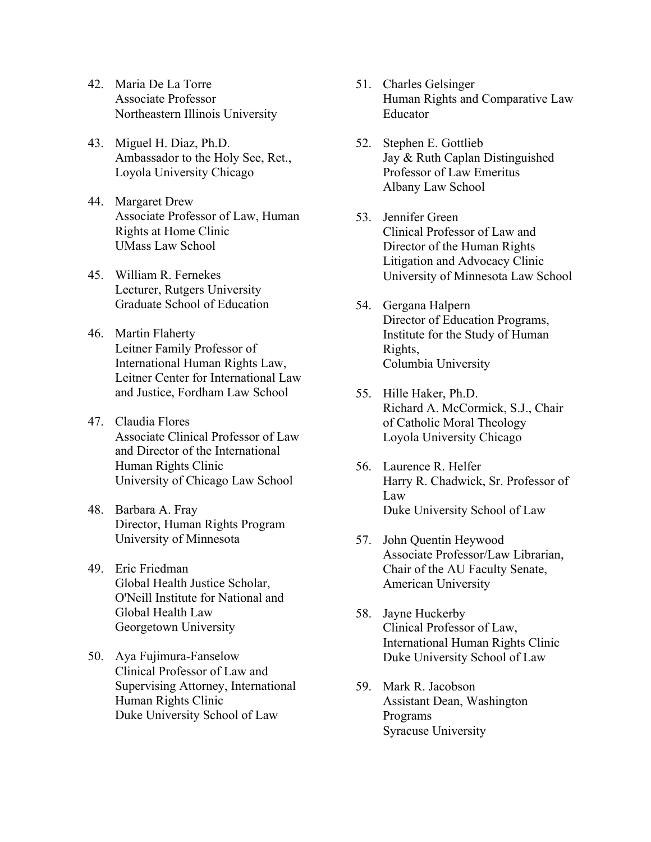- 42. Maria De La Torre Associate Professor Northeastern Illinois University
- 43. Miguel H. Diaz, Ph.D. Ambassador to the Holy See, Ret., Loyola University Chicago
- 44. Margaret Drew Associate Professor of Law, Human Rights at Home Clinic UMass Law School
- 45. William R. Fernekes Lecturer, Rutgers University Graduate School of Education
- 46. Martin Flaherty Leitner Family Professor of International Human Rights Law, Leitner Center for International Law and Justice, Fordham Law School
- 47. Claudia Flores Associate Clinical Professor of Law and Director of the International Human Rights Clinic University of Chicago Law School
- 48. Barbara A. Fray Director, Human Rights Program University of Minnesota
- 49. Eric Friedman Global Health Justice Scholar, O'Neill Institute for National and Global Health Law Georgetown University
- 50. Aya Fujimura-Fanselow Clinical Professor of Law and Supervising Attorney, International Human Rights Clinic Duke University School of Law
- 51. Charles Gelsinger Human Rights and Comparative Law Educator
- 52. Stephen E. Gottlieb Jay & Ruth Caplan Distinguished Professor of Law Emeritus Albany Law School
- 53. Jennifer Green Clinical Professor of Law and Director of the Human Rights Litigation and Advocacy Clinic University of Minnesota Law School
- 54. Gergana Halpern Director of Education Programs, Institute for the Study of Human Rights, Columbia University
- 55. Hille Haker, Ph.D. Richard A. McCormick, S.J., Chair of Catholic Moral Theology Loyola University Chicago
- 56. Laurence R. Helfer Harry R. Chadwick, Sr. Professor of Law Duke University School of Law
- 57. John Quentin Heywood Associate Professor/Law Librarian, Chair of the AU Faculty Senate, American University
- 58. Jayne Huckerby Clinical Professor of Law, International Human Rights Clinic Duke University School of Law
- 59. Mark R. Jacobson Assistant Dean, Washington Programs Syracuse University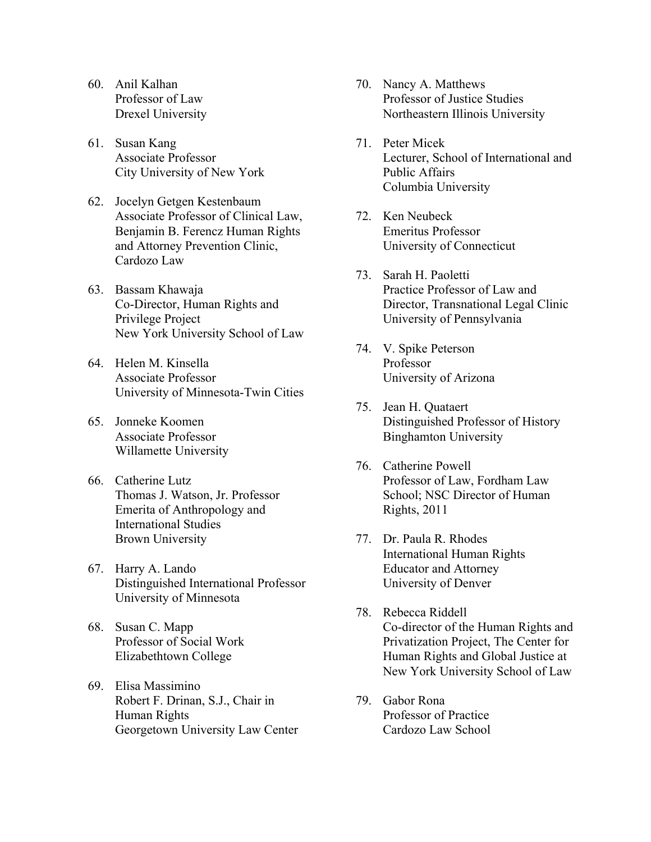- 60. Anil Kalhan Professor of Law Drexel University
- 61. Susan Kang Associate Professor City University of New York
- 62. Jocelyn Getgen Kestenbaum Associate Professor of Clinical Law, Benjamin B. Ferencz Human Rights and Attorney Prevention Clinic, Cardozo Law
- 63. Bassam Khawaja Co-Director, Human Rights and Privilege Project New York University School of Law
- 64. Helen M. Kinsella Associate Professor University of Minnesota-Twin Cities
- 65. Jonneke Koomen Associate Professor Willamette University
- 66. Catherine Lutz Thomas J. Watson, Jr. Professor Emerita of Anthropology and International Studies Brown University
- 67. Harry A. Lando Distinguished International Professor University of Minnesota
- 68. Susan C. Mapp Professor of Social Work Elizabethtown College
- 69. Elisa Massimino Robert F. Drinan, S.J., Chair in Human Rights Georgetown University Law Center
- 70. Nancy A. Matthews Professor of Justice Studies Northeastern Illinois University
- 71. Peter Micek Lecturer, School of International and Public Affairs Columbia University
- 72. Ken Neubeck Emeritus Professor University of Connecticut
- 73. Sarah H. Paoletti Practice Professor of Law and Director, Transnational Legal Clinic University of Pennsylvania
- 74. V. Spike Peterson Professor University of Arizona
- 75. Jean H. Quataert Distinguished Professor of History Binghamton University
- 76. Catherine Powell Professor of Law, Fordham Law School; NSC Director of Human Rights, 2011
- 77. Dr. Paula R. Rhodes International Human Rights Educator and Attorney University of Denver
- 78. Rebecca Riddell Co-director of the Human Rights and Privatization Project, The Center for Human Rights and Global Justice at New York University School of Law
- 79. Gabor Rona Professor of Practice Cardozo Law School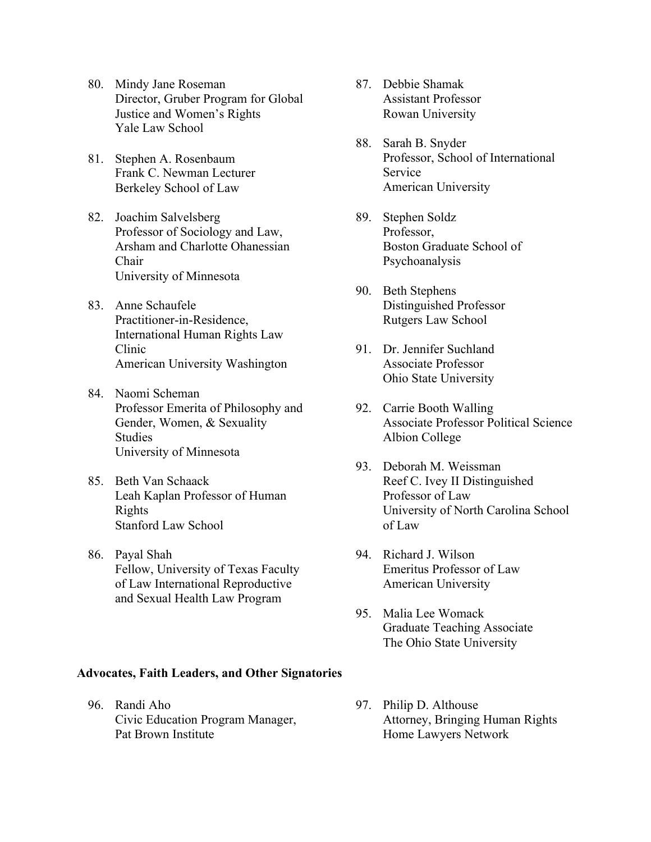- 80. Mindy Jane Roseman Director, Gruber Program for Global Justice and Women's Rights Yale Law School
- 81. Stephen A. Rosenbaum Frank C. Newman Lecturer Berkeley School of Law
- 82. Joachim Salvelsberg Professor of Sociology and Law, Arsham and Charlotte Ohanessian Chair University of Minnesota
- 83. Anne Schaufele Practitioner-in-Residence, International Human Rights Law Clinic American University Washington
- 84. Naomi Scheman Professor Emerita of Philosophy and Gender, Women, & Sexuality Studies University of Minnesota
- 85. Beth Van Schaack Leah Kaplan Professor of Human Rights Stanford Law School
- 86. Payal Shah Fellow, University of Texas Faculty of Law International Reproductive and Sexual Health Law Program

#### **Advocates, Faith Leaders, and Other Signatories**

96. Randi Aho Civic Education Program Manager, Pat Brown Institute

- 87. Debbie Shamak Assistant Professor Rowan University
- 88. Sarah B. Snyder Professor, School of International Service American University
- 89. Stephen Soldz Professor, Boston Graduate School of Psychoanalysis
- 90. Beth Stephens Distinguished Professor Rutgers Law School
- 91. Dr. Jennifer Suchland Associate Professor Ohio State University
- 92. Carrie Booth Walling Associate Professor Political Science Albion College
- 93. Deborah M. Weissman Reef C. Ivey II Distinguished Professor of Law University of North Carolina School of Law
- 94. Richard J. Wilson Emeritus Professor of Law American University
- 95. Malia Lee Womack Graduate Teaching Associate The Ohio State University
- 97. Philip D. Althouse Attorney, Bringing Human Rights Home Lawyers Network